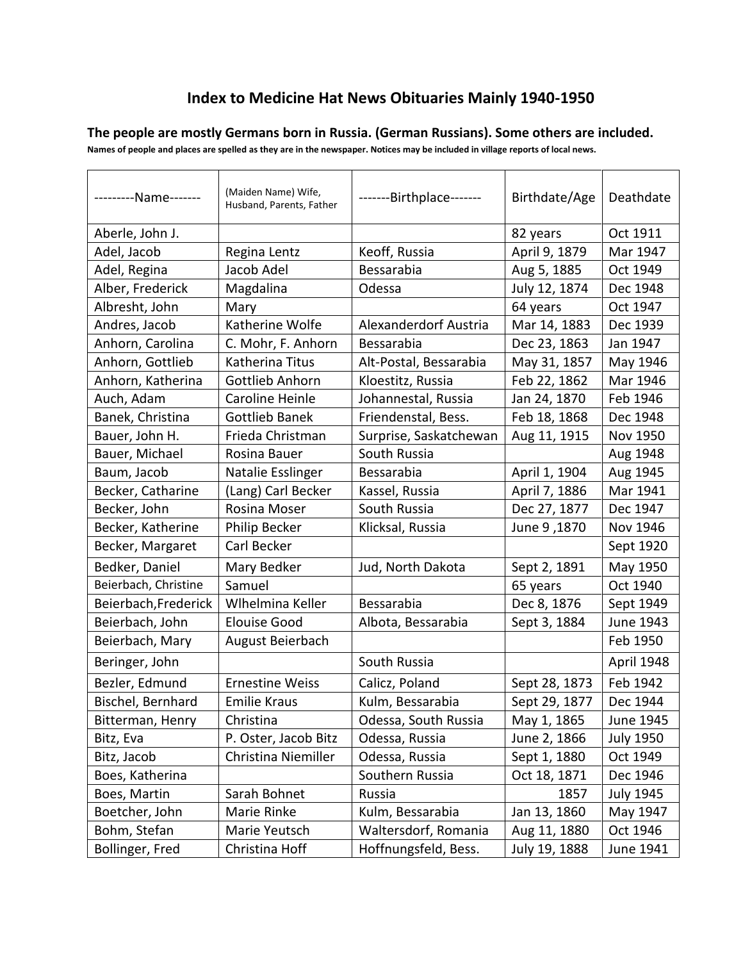## **Index to Medicine Hat News Obituaries Mainly 1940-1950**

**The people are mostly Germans born in Russia. (German Russians). Some others are included.**

**Names of people and places are spelled as they are in the newspaper. Notices may be included in village reports of local news.**

| ---------Name------- | (Maiden Name) Wife,<br>Husband, Parents, Father | -------Birthplace------- | Birthdate/Age | Deathdate        |
|----------------------|-------------------------------------------------|--------------------------|---------------|------------------|
| Aberle, John J.      |                                                 |                          | 82 years      | Oct 1911         |
| Adel, Jacob          | Regina Lentz                                    | Keoff, Russia            | April 9, 1879 | Mar 1947         |
| Adel, Regina         | Jacob Adel                                      | Bessarabia               | Aug 5, 1885   | Oct 1949         |
| Alber, Frederick     | Magdalina                                       | Odessa                   | July 12, 1874 | Dec 1948         |
| Albresht, John       | Mary                                            |                          | 64 years      | Oct 1947         |
| Andres, Jacob        | Katherine Wolfe                                 | Alexanderdorf Austria    | Mar 14, 1883  | Dec 1939         |
| Anhorn, Carolina     | C. Mohr, F. Anhorn                              | Bessarabia               | Dec 23, 1863  | Jan 1947         |
| Anhorn, Gottlieb     | Katherina Titus                                 | Alt-Postal, Bessarabia   | May 31, 1857  | May 1946         |
| Anhorn, Katherina    | Gottlieb Anhorn                                 | Kloestitz, Russia        | Feb 22, 1862  | Mar 1946         |
| Auch, Adam           | Caroline Heinle                                 | Johannestal, Russia      | Jan 24, 1870  | Feb 1946         |
| Banek, Christina     | <b>Gottlieb Banek</b>                           | Friendenstal, Bess.      | Feb 18, 1868  | Dec 1948         |
| Bauer, John H.       | Frieda Christman                                | Surprise, Saskatchewan   | Aug 11, 1915  | Nov 1950         |
| Bauer, Michael       | Rosina Bauer                                    | South Russia             |               | Aug 1948         |
| Baum, Jacob          | Natalie Esslinger                               | Bessarabia               | April 1, 1904 | Aug 1945         |
| Becker, Catharine    | (Lang) Carl Becker                              | Kassel, Russia           | April 7, 1886 | Mar 1941         |
| Becker, John         | Rosina Moser                                    | South Russia             | Dec 27, 1877  | Dec 1947         |
| Becker, Katherine    | <b>Philip Becker</b>                            | Klicksal, Russia         | June 9,1870   | Nov 1946         |
| Becker, Margaret     | Carl Becker                                     |                          |               | Sept 1920        |
| Bedker, Daniel       | Mary Bedker                                     | Jud, North Dakota        | Sept 2, 1891  | May 1950         |
| Beierbach, Christine | Samuel                                          |                          | 65 years      | Oct 1940         |
| Beierbach, Frederick | Wihelmina Keller                                | Bessarabia               | Dec 8, 1876   | Sept 1949        |
| Beierbach, John      | <b>Elouise Good</b>                             | Albota, Bessarabia       | Sept 3, 1884  | June 1943        |
| Beierbach, Mary      | August Beierbach                                |                          |               | Feb 1950         |
| Beringer, John       |                                                 | South Russia             |               | April 1948       |
| Bezler, Edmund       | <b>Ernestine Weiss</b>                          | Calicz, Poland           | Sept 28, 1873 | Feb 1942         |
| Bischel, Bernhard    | <b>Emilie Kraus</b>                             | Kulm, Bessarabia         | Sept 29, 1877 | Dec 1944         |
| Bitterman, Henry     | Christina                                       | Odessa, South Russia     | May 1, 1865   | June 1945        |
| Bitz, Eva            | P. Oster, Jacob Bitz                            | Odessa, Russia           | June 2, 1866  | <b>July 1950</b> |
| Bitz, Jacob          | Christina Niemiller                             | Odessa, Russia           | Sept 1, 1880  | Oct 1949         |
| Boes, Katherina      |                                                 | Southern Russia          | Oct 18, 1871  | Dec 1946         |
| Boes, Martin         | Sarah Bohnet                                    | Russia                   | 1857          | <b>July 1945</b> |
| Boetcher, John       | Marie Rinke                                     | Kulm, Bessarabia         | Jan 13, 1860  | May 1947         |
| Bohm, Stefan         | Marie Yeutsch                                   | Waltersdorf, Romania     | Aug 11, 1880  | Oct 1946         |
| Bollinger, Fred      | Christina Hoff                                  | Hoffnungsfeld, Bess.     | July 19, 1888 | June 1941        |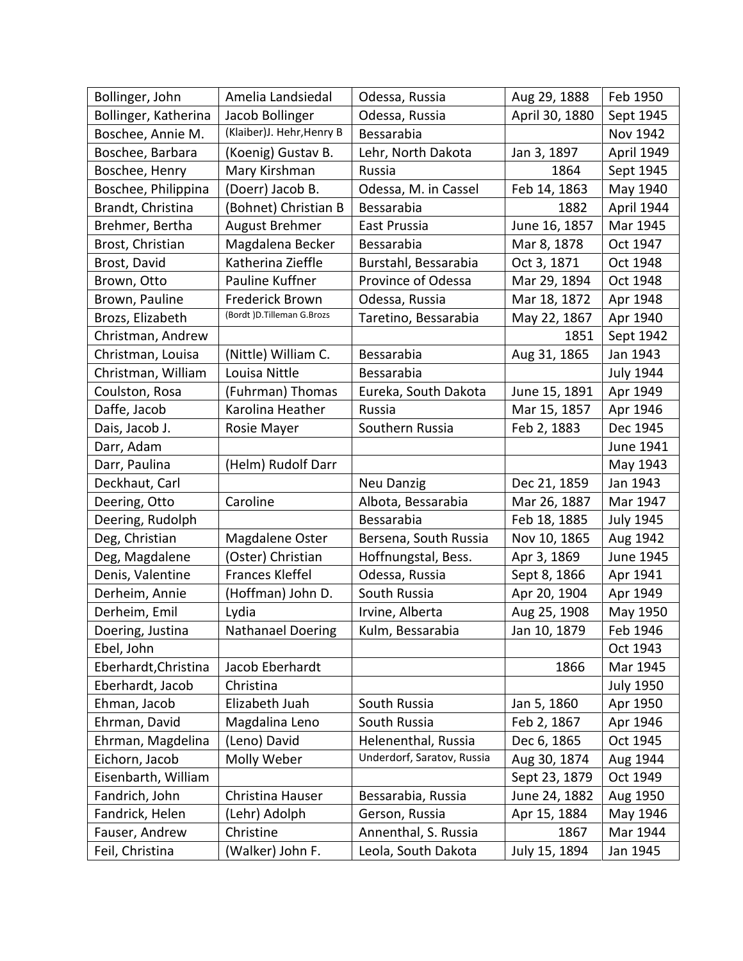| Bollinger, John      | Amelia Landsiedal          | Odessa, Russia             | Aug 29, 1888   | Feb 1950         |
|----------------------|----------------------------|----------------------------|----------------|------------------|
| Bollinger, Katherina | Jacob Bollinger            | Odessa, Russia             | April 30, 1880 | Sept 1945        |
| Boschee, Annie M.    | (Klaiber)J. Hehr, Henry B  | Bessarabia                 |                | <b>Nov 1942</b>  |
| Boschee, Barbara     | (Koenig) Gustav B.         | Lehr, North Dakota         | Jan 3, 1897    | April 1949       |
| Boschee, Henry       | Mary Kirshman              | Russia                     | 1864           | Sept 1945        |
| Boschee, Philippina  | (Doerr) Jacob B.           | Odessa, M. in Cassel       | Feb 14, 1863   | May 1940         |
| Brandt, Christina    | (Bohnet) Christian B       | Bessarabia                 | 1882           | April 1944       |
| Brehmer, Bertha      | August Brehmer             | East Prussia               | June 16, 1857  | Mar 1945         |
| Brost, Christian     | Magdalena Becker           | Bessarabia                 | Mar 8, 1878    | Oct 1947         |
| Brost, David         | Katherina Zieffle          | Burstahl, Bessarabia       | Oct 3, 1871    | Oct 1948         |
| Brown, Otto          | Pauline Kuffner            | Province of Odessa         | Mar 29, 1894   | Oct 1948         |
| Brown, Pauline       | <b>Frederick Brown</b>     | Odessa, Russia             | Mar 18, 1872   | Apr 1948         |
| Brozs, Elizabeth     | (Bordt )D.Tilleman G.Brozs | Taretino, Bessarabia       | May 22, 1867   | Apr 1940         |
| Christman, Andrew    |                            |                            | 1851           | Sept 1942        |
| Christman, Louisa    | (Nittle) William C.        | Bessarabia                 | Aug 31, 1865   | Jan 1943         |
| Christman, William   | Louisa Nittle              | Bessarabia                 |                | <b>July 1944</b> |
| Coulston, Rosa       | (Fuhrman) Thomas           | Eureka, South Dakota       | June 15, 1891  | Apr 1949         |
| Daffe, Jacob         | Karolina Heather           | Russia                     | Mar 15, 1857   | Apr 1946         |
| Dais, Jacob J.       | Rosie Mayer                | Southern Russia            | Feb 2, 1883    | Dec 1945         |
| Darr, Adam           |                            |                            |                | June 1941        |
| Darr, Paulina        | (Helm) Rudolf Darr         |                            |                | May 1943         |
| Deckhaut, Carl       |                            | Neu Danzig                 | Dec 21, 1859   | Jan 1943         |
| Deering, Otto        | Caroline                   | Albota, Bessarabia         | Mar 26, 1887   | Mar 1947         |
| Deering, Rudolph     |                            | Bessarabia                 | Feb 18, 1885   | <b>July 1945</b> |
| Deg, Christian       | Magdalene Oster            | Bersena, South Russia      | Nov 10, 1865   | Aug 1942         |
| Deg, Magdalene       | (Oster) Christian          | Hoffnungstal, Bess.        | Apr 3, 1869    | June 1945        |
| Denis, Valentine     | Frances Kleffel            | Odessa, Russia             | Sept 8, 1866   | Apr 1941         |
| Derheim, Annie       | (Hoffman) John D.          | South Russia               | Apr 20, 1904   | Apr 1949         |
| Derheim, Emil        | Lydia                      | Irvine, Alberta            | Aug 25, 1908   | May 1950         |
| Doering, Justina     | Nathanael Doering          | Kulm, Bessarabia           | Jan 10, 1879   | Feb 1946         |
| Ebel, John           |                            |                            |                | Oct 1943         |
| Eberhardt, Christina | Jacob Eberhardt            |                            | 1866           | Mar 1945         |
| Eberhardt, Jacob     | Christina                  |                            |                | <b>July 1950</b> |
| Ehman, Jacob         | Elizabeth Juah             | South Russia               | Jan 5, 1860    | Apr 1950         |
| Ehrman, David        | Magdalina Leno             | South Russia               | Feb 2, 1867    | Apr 1946         |
| Ehrman, Magdelina    | (Leno) David               | Helenenthal, Russia        | Dec 6, 1865    | Oct 1945         |
| Eichorn, Jacob       | Molly Weber                | Underdorf, Saratov, Russia | Aug 30, 1874   | Aug 1944         |
| Eisenbarth, William  |                            |                            | Sept 23, 1879  | Oct 1949         |
| Fandrich, John       | Christina Hauser           | Bessarabia, Russia         | June 24, 1882  | Aug 1950         |
| Fandrick, Helen      | (Lehr) Adolph              | Gerson, Russia             | Apr 15, 1884   | May 1946         |
| Fauser, Andrew       | Christine                  | Annenthal, S. Russia       | 1867           | Mar 1944         |
| Feil, Christina      | (Walker) John F.           | Leola, South Dakota        | July 15, 1894  | Jan 1945         |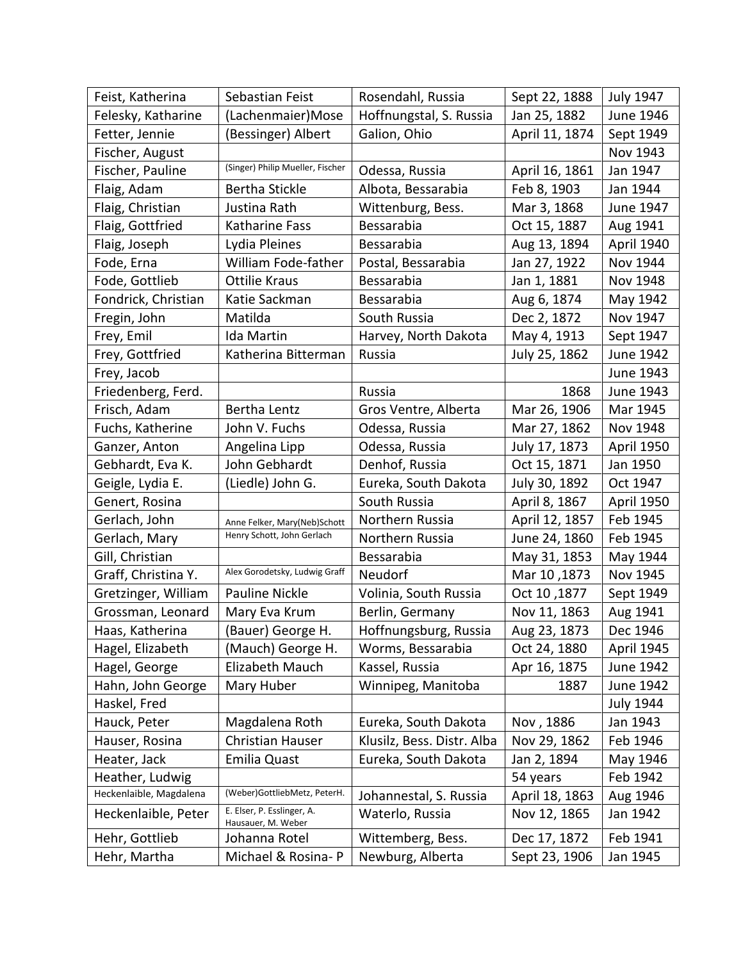| Feist, Katherina        | Sebastian Feist                                  | Rosendahl, Russia          | Sept 22, 1888  | <b>July 1947</b>  |
|-------------------------|--------------------------------------------------|----------------------------|----------------|-------------------|
| Felesky, Katharine      | (Lachenmaier)Mose                                | Hoffnungstal, S. Russia    | Jan 25, 1882   | June 1946         |
| Fetter, Jennie          | (Bessinger) Albert                               | Galion, Ohio               | April 11, 1874 | Sept 1949         |
| Fischer, August         |                                                  |                            |                | Nov 1943          |
| Fischer, Pauline        | (Singer) Philip Mueller, Fischer                 | Odessa, Russia             | April 16, 1861 | Jan 1947          |
| Flaig, Adam             | Bertha Stickle                                   | Albota, Bessarabia         | Feb 8, 1903    | Jan 1944          |
| Flaig, Christian        | Justina Rath                                     | Wittenburg, Bess.          | Mar 3, 1868    | June 1947         |
| Flaig, Gottfried        | Katharine Fass                                   | Bessarabia                 | Oct 15, 1887   | Aug 1941          |
| Flaig, Joseph           | Lydia Pleines                                    | Bessarabia                 | Aug 13, 1894   | <b>April 1940</b> |
| Fode, Erna              | William Fode-father                              | Postal, Bessarabia         | Jan 27, 1922   | Nov 1944          |
| Fode, Gottlieb          | <b>Ottilie Kraus</b>                             | Bessarabia                 | Jan 1, 1881    | Nov 1948          |
| Fondrick, Christian     | Katie Sackman                                    | Bessarabia                 | Aug 6, 1874    | May 1942          |
| Fregin, John            | Matilda                                          | South Russia               | Dec 2, 1872    | Nov 1947          |
| Frey, Emil              | <b>Ida Martin</b>                                | Harvey, North Dakota       | May 4, 1913    | Sept 1947         |
| Frey, Gottfried         | Katherina Bitterman                              | Russia                     | July 25, 1862  | June 1942         |
| Frey, Jacob             |                                                  |                            |                | June 1943         |
| Friedenberg, Ferd.      |                                                  | Russia                     | 1868           | June 1943         |
| Frisch, Adam            | Bertha Lentz                                     | Gros Ventre, Alberta       | Mar 26, 1906   | Mar 1945          |
| Fuchs, Katherine        | John V. Fuchs                                    | Odessa, Russia             | Mar 27, 1862   | Nov 1948          |
| Ganzer, Anton           | Angelina Lipp                                    | Odessa, Russia             | July 17, 1873  | <b>April 1950</b> |
| Gebhardt, Eva K.        | John Gebhardt                                    | Denhof, Russia             | Oct 15, 1871   | Jan 1950          |
| Geigle, Lydia E.        | (Liedle) John G.                                 | Eureka, South Dakota       | July 30, 1892  | Oct 1947          |
| Genert, Rosina          |                                                  | South Russia               | April 8, 1867  | <b>April 1950</b> |
| Gerlach, John           | Anne Felker, Mary(Neb)Schott                     | Northern Russia            | April 12, 1857 | Feb 1945          |
| Gerlach, Mary           | Henry Schott, John Gerlach                       | Northern Russia            | June 24, 1860  | Feb 1945          |
| Gill, Christian         |                                                  | Bessarabia                 | May 31, 1853   | May 1944          |
| Graff, Christina Y.     | Alex Gorodetsky, Ludwig Graff                    | Neudorf                    | Mar 10, 1873   | Nov 1945          |
| Gretzinger, William     | <b>Pauline Nickle</b>                            | Volinia, South Russia      | Oct 10,1877    | Sept 1949         |
| Grossman, Leonard       | Mary Eva Krum                                    | Berlin, Germany            | Nov 11, 1863   | Aug 1941          |
| Haas, Katherina         | (Bauer) George H.                                | Hoffnungsburg, Russia      | Aug 23, 1873   | Dec 1946          |
| Hagel, Elizabeth        | (Mauch) George H.                                | Worms, Bessarabia          | Oct 24, 1880   | April 1945        |
| Hagel, George           | Elizabeth Mauch                                  | Kassel, Russia             | Apr 16, 1875   | June 1942         |
| Hahn, John George       | Mary Huber                                       | Winnipeg, Manitoba         | 1887           | June 1942         |
| Haskel, Fred            |                                                  |                            |                | <b>July 1944</b>  |
| Hauck, Peter            | Magdalena Roth                                   | Eureka, South Dakota       | Nov, 1886      | Jan 1943          |
| Hauser, Rosina          | Christian Hauser                                 | Klusilz, Bess. Distr. Alba | Nov 29, 1862   | Feb 1946          |
| Heater, Jack            | Emilia Quast                                     | Eureka, South Dakota       | Jan 2, 1894    | May 1946          |
| Heather, Ludwig         |                                                  |                            | 54 years       | Feb 1942          |
| Heckenlaible, Magdalena | (Weber)GottliebMetz, PeterH.                     | Johannestal, S. Russia     | April 18, 1863 | Aug 1946          |
| Heckenlaible, Peter     | E. Elser, P. Esslinger, A.<br>Hausauer, M. Weber | Waterlo, Russia            | Nov 12, 1865   | Jan 1942          |
| Hehr, Gottlieb          | Johanna Rotel                                    | Wittemberg, Bess.          | Dec 17, 1872   | Feb 1941          |
| Hehr, Martha            | Michael & Rosina- P                              | Newburg, Alberta           | Sept 23, 1906  | Jan 1945          |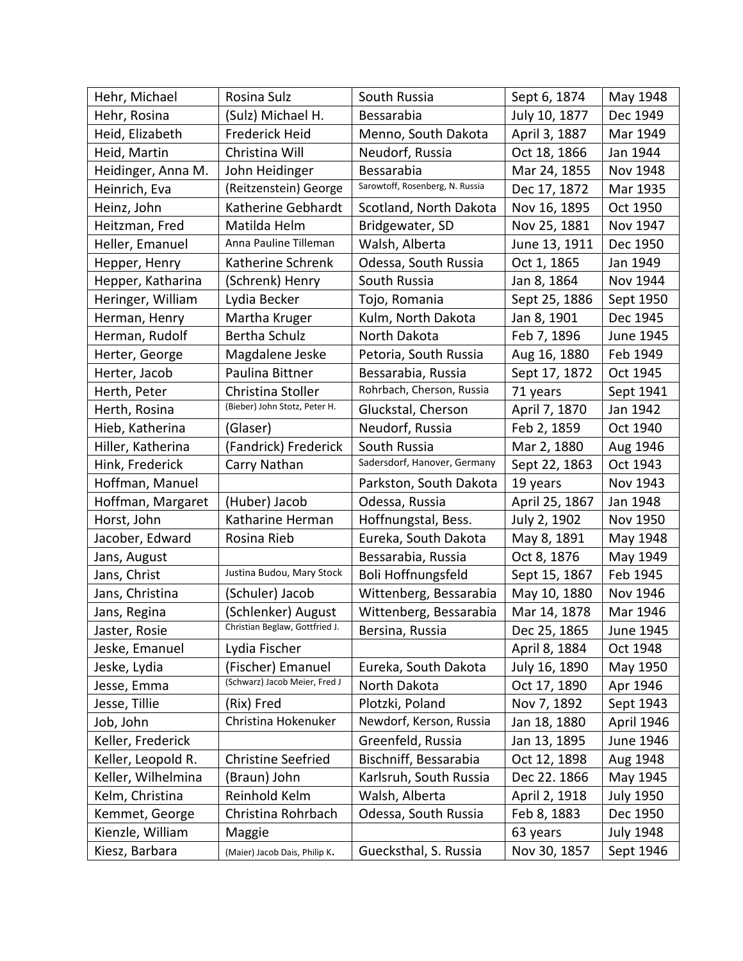| Hehr, Michael      | Rosina Sulz                    | South Russia                    | Sept 6, 1874   | May 1948         |
|--------------------|--------------------------------|---------------------------------|----------------|------------------|
| Hehr, Rosina       | (Sulz) Michael H.              | Bessarabia                      | July 10, 1877  | Dec 1949         |
| Heid, Elizabeth    | Frederick Heid                 | Menno, South Dakota             | April 3, 1887  | Mar 1949         |
| Heid, Martin       | Christina Will                 | Neudorf, Russia                 | Oct 18, 1866   | Jan 1944         |
| Heidinger, Anna M. | John Heidinger                 | Bessarabia                      | Mar 24, 1855   | Nov 1948         |
| Heinrich, Eva      | (Reitzenstein) George          | Sarowtoff, Rosenberg, N. Russia | Dec 17, 1872   | Mar 1935         |
| Heinz, John        | Katherine Gebhardt             | Scotland, North Dakota          | Nov 16, 1895   | Oct 1950         |
| Heitzman, Fred     | Matilda Helm                   | Bridgewater, SD                 | Nov 25, 1881   | Nov 1947         |
| Heller, Emanuel    | Anna Pauline Tilleman          | Walsh, Alberta                  | June 13, 1911  | Dec 1950         |
| Hepper, Henry      | Katherine Schrenk              | Odessa, South Russia            | Oct 1, 1865    | Jan 1949         |
| Hepper, Katharina  | (Schrenk) Henry                | South Russia                    | Jan 8, 1864    | Nov 1944         |
| Heringer, William  | Lydia Becker                   | Tojo, Romania                   | Sept 25, 1886  | Sept 1950        |
| Herman, Henry      | Martha Kruger                  | Kulm, North Dakota              | Jan 8, 1901    | Dec 1945         |
| Herman, Rudolf     | Bertha Schulz                  | North Dakota                    | Feb 7, 1896    | June 1945        |
| Herter, George     | Magdalene Jeske                | Petoria, South Russia           | Aug 16, 1880   | Feb 1949         |
| Herter, Jacob      | Paulina Bittner                | Bessarabia, Russia              | Sept 17, 1872  | Oct 1945         |
| Herth, Peter       | Christina Stoller              | Rohrbach, Cherson, Russia       | 71 years       | Sept 1941        |
| Herth, Rosina      | (Bieber) John Stotz, Peter H.  | Gluckstal, Cherson              | April 7, 1870  | Jan 1942         |
| Hieb, Katherina    | (Glaser)                       | Neudorf, Russia                 | Feb 2, 1859    | Oct 1940         |
| Hiller, Katherina  | (Fandrick) Frederick           | South Russia                    | Mar 2, 1880    | Aug 1946         |
| Hink, Frederick    | Carry Nathan                   | Sadersdorf, Hanover, Germany    | Sept 22, 1863  | Oct 1943         |
| Hoffman, Manuel    |                                | Parkston, South Dakota          | 19 years       | Nov 1943         |
| Hoffman, Margaret  | (Huber) Jacob                  | Odessa, Russia                  | April 25, 1867 | Jan 1948         |
| Horst, John        | Katharine Herman               | Hoffnungstal, Bess.             | July 2, 1902   | <b>Nov 1950</b>  |
| Jacober, Edward    | Rosina Rieb                    | Eureka, South Dakota            | May 8, 1891    | May 1948         |
| Jans, August       |                                | Bessarabia, Russia              | Oct 8, 1876    | May 1949         |
| Jans, Christ       | Justina Budou, Mary Stock      | Boli Hoffnungsfeld              | Sept 15, 1867  | Feb 1945         |
| Jans, Christina    | (Schuler) Jacob                | Wittenberg, Bessarabia          | May 10, 1880   | Nov 1946         |
| Jans, Regina       | (Schlenker) August             | Wittenberg, Bessarabia          | Mar 14, 1878   | Mar 1946         |
| Jaster, Rosie      | Christian Beglaw, Gottfried J. | Bersina, Russia                 | Dec 25, 1865   | June 1945        |
| Jeske, Emanuel     | Lydia Fischer                  |                                 | April 8, 1884  | Oct 1948         |
| Jeske, Lydia       | (Fischer) Emanuel              | Eureka, South Dakota            | July 16, 1890  | May 1950         |
| Jesse, Emma        | (Schwarz) Jacob Meier, Fred J  | North Dakota                    | Oct 17, 1890   | Apr 1946         |
| Jesse, Tillie      | (Rix) Fred                     | Plotzki, Poland                 | Nov 7, 1892    | Sept 1943        |
| Job, John          | Christina Hokenuker            | Newdorf, Kerson, Russia         | Jan 18, 1880   | April 1946       |
| Keller, Frederick  |                                | Greenfeld, Russia               | Jan 13, 1895   | June 1946        |
| Keller, Leopold R. | <b>Christine Seefried</b>      | Bischniff, Bessarabia           | Oct 12, 1898   | Aug 1948         |
| Keller, Wilhelmina | (Braun) John                   | Karlsruh, South Russia          | Dec 22. 1866   | May 1945         |
| Kelm, Christina    | Reinhold Kelm                  | Walsh, Alberta                  | April 2, 1918  | <b>July 1950</b> |
| Kemmet, George     | Christina Rohrbach             | Odessa, South Russia            | Feb 8, 1883    | Dec 1950         |
| Kienzle, William   | Maggie                         |                                 | 63 years       | <b>July 1948</b> |
| Kiesz, Barbara     | (Maier) Jacob Dais, Philip K.  | Guecksthal, S. Russia           | Nov 30, 1857   | Sept 1946        |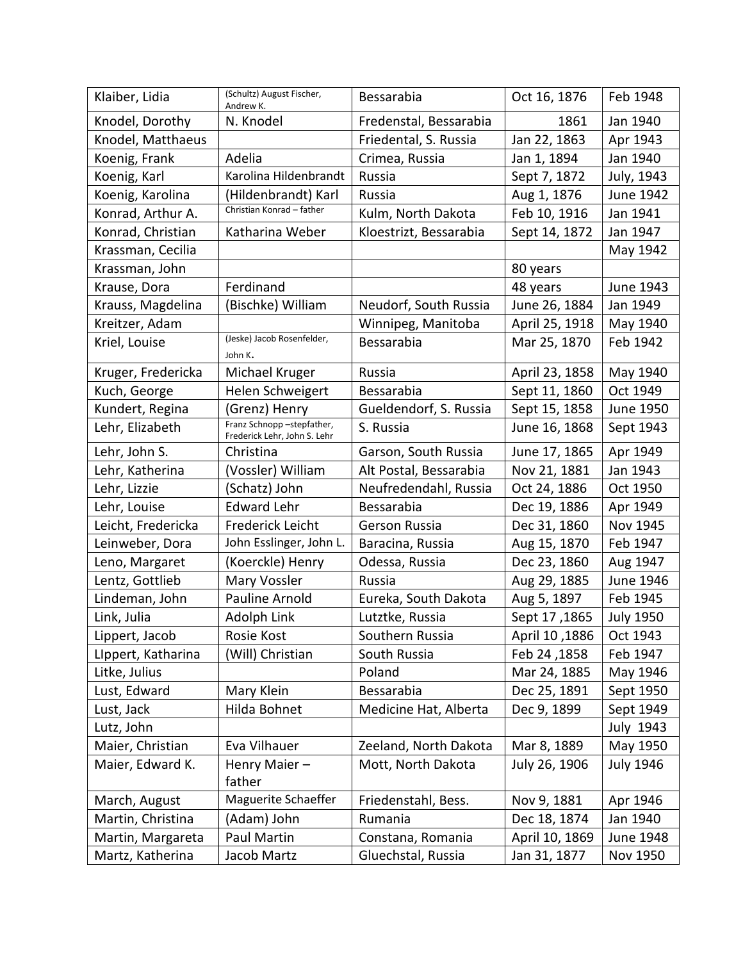| Klaiber, Lidia     | (Schultz) August Fischer,<br>Andrew K.                    | Bessarabia             | Oct 16, 1876   | Feb 1948         |
|--------------------|-----------------------------------------------------------|------------------------|----------------|------------------|
| Knodel, Dorothy    | N. Knodel                                                 | Fredenstal, Bessarabia | 1861           | Jan 1940         |
| Knodel, Matthaeus  |                                                           | Friedental, S. Russia  | Jan 22, 1863   | Apr 1943         |
| Koenig, Frank      | Adelia                                                    | Crimea, Russia         | Jan 1, 1894    | Jan 1940         |
| Koenig, Karl       | Karolina Hildenbrandt                                     | Russia                 | Sept 7, 1872   | July, 1943       |
| Koenig, Karolina   | (Hildenbrandt) Karl                                       | Russia                 | Aug 1, 1876    | June 1942        |
| Konrad, Arthur A.  | Christian Konrad - father                                 | Kulm, North Dakota     | Feb 10, 1916   | Jan 1941         |
| Konrad, Christian  | Katharina Weber                                           | Kloestrizt, Bessarabia | Sept 14, 1872  | Jan 1947         |
| Krassman, Cecilia  |                                                           |                        |                | May 1942         |
| Krassman, John     |                                                           |                        | 80 years       |                  |
| Krause, Dora       | Ferdinand                                                 |                        | 48 years       | June 1943        |
| Krauss, Magdelina  | (Bischke) William                                         | Neudorf, South Russia  | June 26, 1884  | Jan 1949         |
| Kreitzer, Adam     |                                                           | Winnipeg, Manitoba     | April 25, 1918 | May 1940         |
| Kriel, Louise      | (Jeske) Jacob Rosenfelder,<br>John K.                     | Bessarabia             | Mar 25, 1870   | Feb 1942         |
| Kruger, Fredericka | Michael Kruger                                            | Russia                 | April 23, 1858 | May 1940         |
| Kuch, George       | Helen Schweigert                                          | Bessarabia             | Sept 11, 1860  | Oct 1949         |
| Kundert, Regina    | (Grenz) Henry                                             | Gueldendorf, S. Russia | Sept 15, 1858  | June 1950        |
| Lehr, Elizabeth    | Franz Schnopp-stepfather,<br>Frederick Lehr, John S. Lehr | S. Russia              | June 16, 1868  | Sept 1943        |
| Lehr, John S.      | Christina                                                 | Garson, South Russia   | June 17, 1865  | Apr 1949         |
| Lehr, Katherina    | (Vossler) William                                         | Alt Postal, Bessarabia | Nov 21, 1881   | Jan 1943         |
| Lehr, Lizzie       | (Schatz) John                                             | Neufredendahl, Russia  | Oct 24, 1886   | Oct 1950         |
| Lehr, Louise       | <b>Edward Lehr</b>                                        | Bessarabia             | Dec 19, 1886   | Apr 1949         |
| Leicht, Fredericka | <b>Frederick Leicht</b>                                   | Gerson Russia          | Dec 31, 1860   | Nov 1945         |
| Leinweber, Dora    | John Esslinger, John L.                                   | Baracina, Russia       | Aug 15, 1870   | Feb 1947         |
| Leno, Margaret     | (Koerckle) Henry                                          | Odessa, Russia         | Dec 23, 1860   | Aug 1947         |
| Lentz, Gottlieb    | Mary Vossler                                              | Russia                 | Aug 29, 1885   | June 1946        |
| Lindeman, John     | <b>Pauline Arnold</b>                                     | Eureka, South Dakota   | Aug 5, 1897    | Feb 1945         |
| Link, Julia        | Adolph Link                                               | Lutztke, Russia        | Sept 17, 1865  | <b>July 1950</b> |
| Lippert, Jacob     | Rosie Kost                                                | Southern Russia        | April 10,1886  | Oct 1943         |
| LIppert, Katharina | (Will) Christian                                          | South Russia           | Feb 24, 1858   | Feb 1947         |
| Litke, Julius      |                                                           | Poland                 | Mar 24, 1885   | May 1946         |
| Lust, Edward       | Mary Klein                                                | Bessarabia             | Dec 25, 1891   | Sept 1950        |
| Lust, Jack         | Hilda Bohnet                                              | Medicine Hat, Alberta  | Dec 9, 1899    | Sept 1949        |
| Lutz, John         |                                                           |                        |                | <b>July 1943</b> |
| Maier, Christian   | Eva Vilhauer                                              | Zeeland, North Dakota  | Mar 8, 1889    | May 1950         |
| Maier, Edward K.   | Henry Maier-                                              | Mott, North Dakota     | July 26, 1906  | <b>July 1946</b> |
|                    | father                                                    |                        |                |                  |
| March, August      | Maguerite Schaeffer                                       | Friedenstahl, Bess.    | Nov 9, 1881    | Apr 1946         |
| Martin, Christina  | (Adam) John                                               | Rumania                | Dec 18, 1874   | Jan 1940         |
| Martin, Margareta  | Paul Martin                                               | Constana, Romania      | April 10, 1869 | June 1948        |
| Martz, Katherina   | Jacob Martz                                               | Gluechstal, Russia     | Jan 31, 1877   | Nov 1950         |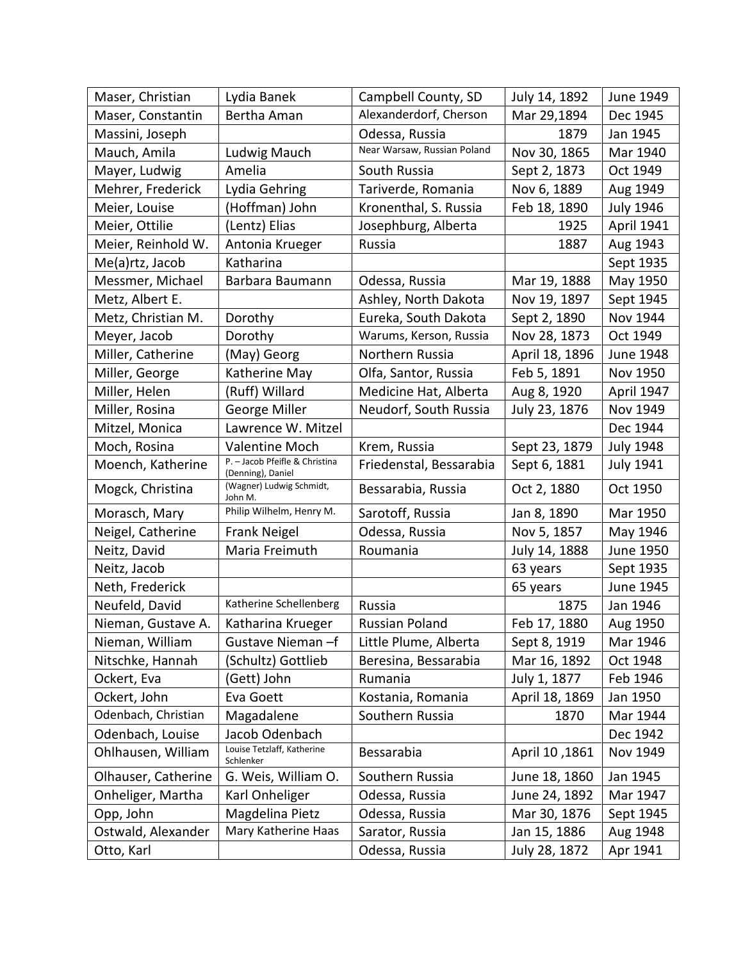| Maser, Christian    | Lydia Banek                                         | Campbell County, SD         | July 14, 1892  | June 1949         |
|---------------------|-----------------------------------------------------|-----------------------------|----------------|-------------------|
| Maser, Constantin   | Bertha Aman                                         | Alexanderdorf, Cherson      | Mar 29,1894    | Dec 1945          |
| Massini, Joseph     |                                                     | Odessa, Russia              | 1879           | Jan 1945          |
| Mauch, Amila        | Ludwig Mauch                                        | Near Warsaw, Russian Poland | Nov 30, 1865   | Mar 1940          |
| Mayer, Ludwig       | Amelia                                              | South Russia                | Sept 2, 1873   | Oct 1949          |
| Mehrer, Frederick   | Lydia Gehring                                       | Tariverde, Romania          | Nov 6, 1889    | Aug 1949          |
| Meier, Louise       | (Hoffman) John                                      | Kronenthal, S. Russia       | Feb 18, 1890   | <b>July 1946</b>  |
| Meier, Ottilie      | (Lentz) Elias                                       | Josephburg, Alberta         | 1925           | <b>April 1941</b> |
| Meier, Reinhold W.  | Antonia Krueger                                     | Russia                      | 1887           | Aug 1943          |
| Me(a)rtz, Jacob     | Katharina                                           |                             |                | Sept 1935         |
| Messmer, Michael    | Barbara Baumann                                     | Odessa, Russia              | Mar 19, 1888   | May 1950          |
| Metz, Albert E.     |                                                     | Ashley, North Dakota        | Nov 19, 1897   | Sept 1945         |
| Metz, Christian M.  | Dorothy                                             | Eureka, South Dakota        | Sept 2, 1890   | Nov 1944          |
| Meyer, Jacob        | Dorothy                                             | Warums, Kerson, Russia      | Nov 28, 1873   | Oct 1949          |
| Miller, Catherine   | (May) Georg                                         | Northern Russia             | April 18, 1896 | June 1948         |
| Miller, George      | Katherine May                                       | Olfa, Santor, Russia        | Feb 5, 1891    | Nov 1950          |
| Miller, Helen       | (Ruff) Willard                                      | Medicine Hat, Alberta       | Aug 8, 1920    | April 1947        |
| Miller, Rosina      | George Miller                                       | Neudorf, South Russia       | July 23, 1876  | Nov 1949          |
| Mitzel, Monica      | Lawrence W. Mitzel                                  |                             |                | Dec 1944          |
| Moch, Rosina        | <b>Valentine Moch</b>                               | Krem, Russia                | Sept 23, 1879  | <b>July 1948</b>  |
| Moench, Katherine   | P. - Jacob Pfeifle & Christina<br>(Denning), Daniel | Friedenstal, Bessarabia     | Sept 6, 1881   | <b>July 1941</b>  |
| Mogck, Christina    | (Wagner) Ludwig Schmidt,<br>John M.                 | Bessarabia, Russia          | Oct 2, 1880    | Oct 1950          |
| Morasch, Mary       | Philip Wilhelm, Henry M.                            | Sarotoff, Russia            | Jan 8, 1890    | Mar 1950          |
| Neigel, Catherine   | <b>Frank Neigel</b>                                 | Odessa, Russia              | Nov 5, 1857    | May 1946          |
| Neitz, David        | Maria Freimuth                                      | Roumania                    | July 14, 1888  | June 1950         |
| Neitz, Jacob        |                                                     |                             | 63 years       | Sept 1935         |
| Neth, Frederick     |                                                     |                             | 65 years       | June 1945         |
| Neufeld, David      | Katherine Schellenberg                              | Russia                      | 1875           | Jan 1946          |
| Nieman, Gustave A.  | Katharina Krueger                                   | <b>Russian Poland</b>       | Feb 17, 1880   | Aug 1950          |
| Nieman, William     | Gustave Nieman-f                                    | Little Plume, Alberta       | Sept 8, 1919   | Mar 1946          |
| Nitschke, Hannah    | (Schultz) Gottlieb                                  | Beresina, Bessarabia        | Mar 16, 1892   | Oct 1948          |
| Ockert, Eva         | (Gett) John                                         | Rumania                     | July 1, 1877   | Feb 1946          |
| Ockert, John        | Eva Goett                                           | Kostania, Romania           | April 18, 1869 | Jan 1950          |
| Odenbach, Christian | Magadalene                                          | Southern Russia             | 1870           | Mar 1944          |
| Odenbach, Louise    | Jacob Odenbach                                      |                             |                | Dec 1942          |
| Ohlhausen, William  | Louise Tetzlaff, Katherine<br>Schlenker             | Bessarabia                  | April 10, 1861 | Nov 1949          |
| Olhauser, Catherine | G. Weis, William O.                                 | Southern Russia             | June 18, 1860  | Jan 1945          |
| Onheliger, Martha   | Karl Onheliger                                      | Odessa, Russia              | June 24, 1892  | Mar 1947          |
| Opp, John           | Magdelina Pietz                                     | Odessa, Russia              | Mar 30, 1876   | Sept 1945         |
| Ostwald, Alexander  | Mary Katherine Haas                                 | Sarator, Russia             | Jan 15, 1886   | Aug 1948          |
| Otto, Karl          |                                                     | Odessa, Russia              | July 28, 1872  | Apr 1941          |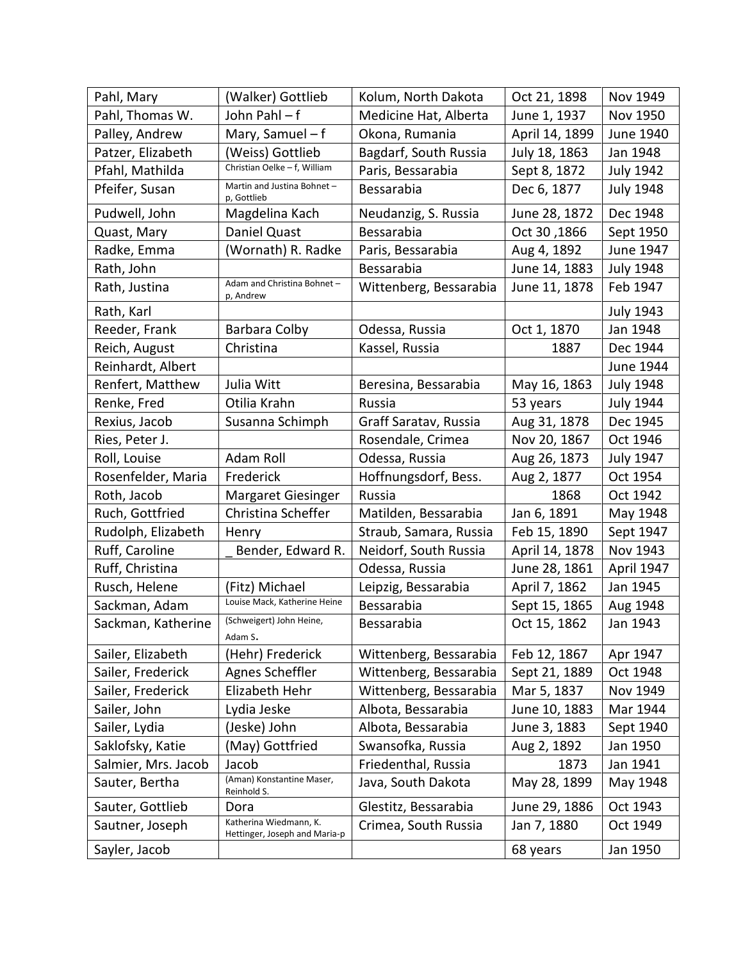| Pahl, Mary          | (Walker) Gottlieb                                       | Kolum, North Dakota    | Oct 21, 1898   | Nov 1949         |
|---------------------|---------------------------------------------------------|------------------------|----------------|------------------|
| Pahl, Thomas W.     | John Pahl-f                                             | Medicine Hat, Alberta  | June 1, 1937   | Nov 1950         |
| Palley, Andrew      | Mary, Samuel - f                                        | Okona, Rumania         | April 14, 1899 | June 1940        |
| Patzer, Elizabeth   | (Weiss) Gottlieb                                        | Bagdarf, South Russia  | July 18, 1863  | Jan 1948         |
| Pfahl, Mathilda     | Christian Oelke - f, William                            | Paris, Bessarabia      | Sept 8, 1872   | <b>July 1942</b> |
| Pfeifer, Susan      | Martin and Justina Bohnet-<br>p, Gottlieb               | Bessarabia             | Dec 6, 1877    | <b>July 1948</b> |
| Pudwell, John       | Magdelina Kach                                          | Neudanzig, S. Russia   | June 28, 1872  | Dec 1948         |
| Quast, Mary         | Daniel Quast                                            | Bessarabia             | 0ct 30,1866    | Sept 1950        |
| Radke, Emma         | (Wornath) R. Radke                                      | Paris, Bessarabia      | Aug 4, 1892    | June 1947        |
| Rath, John          |                                                         | Bessarabia             | June 14, 1883  | <b>July 1948</b> |
| Rath, Justina       | Adam and Christina Bohnet-<br>p, Andrew                 | Wittenberg, Bessarabia | June 11, 1878  | Feb 1947         |
| Rath, Karl          |                                                         |                        |                | <b>July 1943</b> |
| Reeder, Frank       | Barbara Colby                                           | Odessa, Russia         | Oct 1, 1870    | Jan 1948         |
| Reich, August       | Christina                                               | Kassel, Russia         | 1887           | Dec 1944         |
| Reinhardt, Albert   |                                                         |                        |                | June 1944        |
| Renfert, Matthew    | Julia Witt                                              | Beresina, Bessarabia   | May 16, 1863   | <b>July 1948</b> |
| Renke, Fred         | Otilia Krahn                                            | Russia                 | 53 years       | <b>July 1944</b> |
| Rexius, Jacob       | Susanna Schimph                                         | Graff Saratav, Russia  | Aug 31, 1878   | Dec 1945         |
| Ries, Peter J.      |                                                         | Rosendale, Crimea      | Nov 20, 1867   | Oct 1946         |
| Roll, Louise        | Adam Roll                                               | Odessa, Russia         | Aug 26, 1873   | <b>July 1947</b> |
| Rosenfelder, Maria  | Frederick                                               | Hoffnungsdorf, Bess.   | Aug 2, 1877    | Oct 1954         |
| Roth, Jacob         | <b>Margaret Giesinger</b>                               | Russia                 | 1868           | Oct 1942         |
| Ruch, Gottfried     | Christina Scheffer                                      | Matilden, Bessarabia   | Jan 6, 1891    | May 1948         |
| Rudolph, Elizabeth  | Henry                                                   | Straub, Samara, Russia | Feb 15, 1890   | Sept 1947        |
| Ruff, Caroline      | Bender, Edward R.                                       | Neidorf, South Russia  | April 14, 1878 | Nov 1943         |
| Ruff, Christina     |                                                         | Odessa, Russia         | June 28, 1861  | April 1947       |
| Rusch, Helene       | (Fitz) Michael                                          | Leipzig, Bessarabia    | April 7, 1862  | Jan 1945         |
| Sackman, Adam       | Louise Mack, Katherine Heine                            | Bessarabia             | Sept 15, 1865  | Aug 1948         |
| Sackman, Katherine  | (Schweigert) John Heine,<br>Adam S.                     | Bessarabia             | Oct 15, 1862   | Jan 1943         |
| Sailer, Elizabeth   | (Hehr) Frederick                                        | Wittenberg, Bessarabia | Feb 12, 1867   | Apr 1947         |
| Sailer, Frederick   | Agnes Scheffler                                         | Wittenberg, Bessarabia | Sept 21, 1889  | Oct 1948         |
| Sailer, Frederick   | Elizabeth Hehr                                          | Wittenberg, Bessarabia | Mar 5, 1837    | Nov 1949         |
| Sailer, John        | Lydia Jeske                                             | Albota, Bessarabia     | June 10, 1883  | Mar 1944         |
| Sailer, Lydia       | (Jeske) John                                            | Albota, Bessarabia     | June 3, 1883   | Sept 1940        |
| Saklofsky, Katie    | (May) Gottfried                                         | Swansofka, Russia      | Aug 2, 1892    | Jan 1950         |
| Salmier, Mrs. Jacob | Jacob                                                   | Friedenthal, Russia    | 1873           | Jan 1941         |
| Sauter, Bertha      | (Aman) Konstantine Maser,<br>Reinhold S.                | Java, South Dakota     | May 28, 1899   | May 1948         |
| Sauter, Gottlieb    | Dora                                                    | Glestitz, Bessarabia   | June 29, 1886  | Oct 1943         |
| Sautner, Joseph     | Katherina Wiedmann, K.<br>Hettinger, Joseph and Maria-p | Crimea, South Russia   | Jan 7, 1880    | Oct 1949         |
| Sayler, Jacob       |                                                         |                        | 68 years       | Jan 1950         |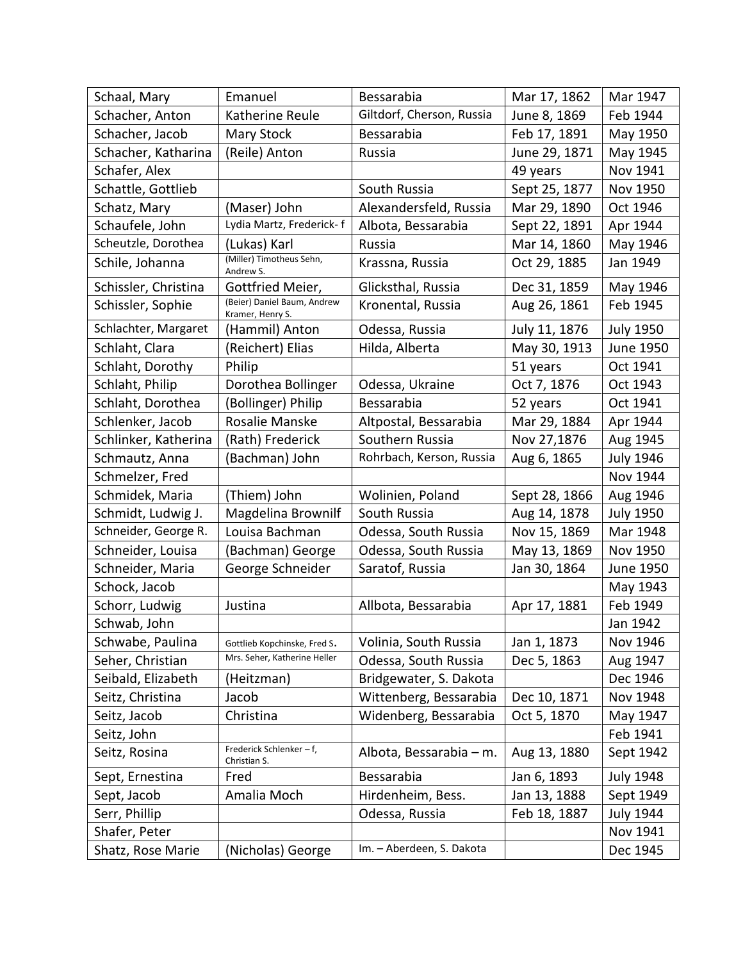| Schaal, Mary         | Emanuel                                         | Bessarabia                | Mar 17, 1862  | Mar 1947         |
|----------------------|-------------------------------------------------|---------------------------|---------------|------------------|
| Schacher, Anton      | Katherine Reule                                 | Giltdorf, Cherson, Russia | June 8, 1869  | Feb 1944         |
| Schacher, Jacob      | Mary Stock                                      | Bessarabia                | Feb 17, 1891  | May 1950         |
| Schacher, Katharina  | (Reile) Anton                                   | Russia                    | June 29, 1871 | May 1945         |
| Schafer, Alex        |                                                 |                           | 49 years      | Nov 1941         |
| Schattle, Gottlieb   |                                                 | South Russia              | Sept 25, 1877 | Nov 1950         |
| Schatz, Mary         | (Maser) John                                    | Alexandersfeld, Russia    | Mar 29, 1890  | Oct 1946         |
| Schaufele, John      | Lydia Martz, Frederick-f                        | Albota, Bessarabia        | Sept 22, 1891 | Apr 1944         |
| Scheutzle, Dorothea  | (Lukas) Karl                                    | Russia                    | Mar 14, 1860  | May 1946         |
| Schile, Johanna      | (Miller) Timotheus Sehn,<br>Andrew S.           | Krassna, Russia           | Oct 29, 1885  | Jan 1949         |
| Schissler, Christina | Gottfried Meier,                                | Glicksthal, Russia        | Dec 31, 1859  | May 1946         |
| Schissler, Sophie    | (Beier) Daniel Baum, Andrew<br>Kramer, Henry S. | Kronental, Russia         | Aug 26, 1861  | Feb 1945         |
| Schlachter, Margaret | (Hammil) Anton                                  | Odessa, Russia            | July 11, 1876 | <b>July 1950</b> |
| Schlaht, Clara       | (Reichert) Elias                                | Hilda, Alberta            | May 30, 1913  | June 1950        |
| Schlaht, Dorothy     | Philip                                          |                           | 51 years      | Oct 1941         |
| Schlaht, Philip      | Dorothea Bollinger                              | Odessa, Ukraine           | Oct 7, 1876   | Oct 1943         |
| Schlaht, Dorothea    | (Bollinger) Philip                              | Bessarabia                | 52 years      | Oct 1941         |
| Schlenker, Jacob     | Rosalie Manske                                  | Altpostal, Bessarabia     | Mar 29, 1884  | Apr 1944         |
| Schlinker, Katherina | (Rath) Frederick                                | Southern Russia           | Nov 27,1876   | Aug 1945         |
| Schmautz, Anna       | (Bachman) John                                  | Rohrbach, Kerson, Russia  | Aug 6, 1865   | <b>July 1946</b> |
| Schmelzer, Fred      |                                                 |                           |               | Nov 1944         |
| Schmidek, Maria      | (Thiem) John                                    | Wolinien, Poland          | Sept 28, 1866 | Aug 1946         |
| Schmidt, Ludwig J.   | Magdelina Brownilf                              | South Russia              | Aug 14, 1878  | <b>July 1950</b> |
| Schneider, George R. | Louisa Bachman                                  | Odessa, South Russia      | Nov 15, 1869  | Mar 1948         |
| Schneider, Louisa    | (Bachman) George                                | Odessa, South Russia      | May 13, 1869  | Nov 1950         |
| Schneider, Maria     | George Schneider                                | Saratof, Russia           | Jan 30, 1864  | June 1950        |
| Schock, Jacob        |                                                 |                           |               | May 1943         |
| Schorr, Ludwig       | Justina                                         | Allbota, Bessarabia       | Apr 17, 1881  | Feb 1949         |
| Schwab, John         |                                                 |                           |               | Jan 1942         |
| Schwabe, Paulina     | Gottlieb Kopchinske, Fred S.                    | Volinia, South Russia     | Jan 1, 1873   | Nov 1946         |
| Seher, Christian     | Mrs. Seher, Katherine Heller                    | Odessa, South Russia      | Dec 5, 1863   | Aug 1947         |
| Seibald, Elizabeth   | (Heitzman)                                      | Bridgewater, S. Dakota    |               | Dec 1946         |
| Seitz, Christina     | Jacob                                           | Wittenberg, Bessarabia    | Dec 10, 1871  | Nov 1948         |
| Seitz, Jacob         | Christina                                       | Widenberg, Bessarabia     | Oct 5, 1870   | May 1947         |
| Seitz, John          |                                                 |                           |               | Feb 1941         |
| Seitz, Rosina        | Frederick Schlenker - f,<br>Christian S.        | Albota, Bessarabia - m.   | Aug 13, 1880  | Sept 1942        |
| Sept, Ernestina      | Fred                                            | Bessarabia                | Jan 6, 1893   | <b>July 1948</b> |
| Sept, Jacob          | Amalia Moch                                     | Hirdenheim, Bess.         | Jan 13, 1888  | Sept 1949        |
| Serr, Phillip        |                                                 | Odessa, Russia            | Feb 18, 1887  | <b>July 1944</b> |
| Shafer, Peter        |                                                 |                           |               | Nov 1941         |
| Shatz, Rose Marie    | (Nicholas) George                               | Im. - Aberdeen, S. Dakota |               | Dec 1945         |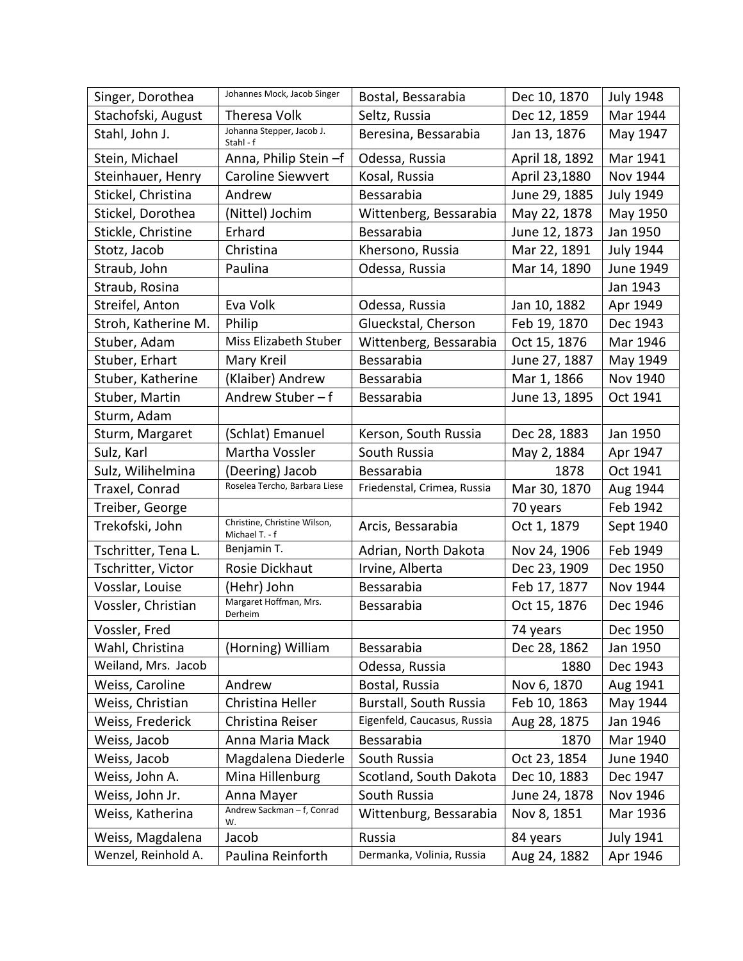| Singer, Dorothea    | Johannes Mock, Jacob Singer                    | Bostal, Bessarabia            | Dec 10, 1870   | <b>July 1948</b> |
|---------------------|------------------------------------------------|-------------------------------|----------------|------------------|
| Stachofski, August  | Theresa Volk                                   | Seltz, Russia                 | Dec 12, 1859   | Mar 1944         |
| Stahl, John J.      | Johanna Stepper, Jacob J.<br>Stahl - f         | Beresina, Bessarabia          | Jan 13, 1876   | May 1947         |
| Stein, Michael      | Anna, Philip Stein -f                          | Odessa, Russia                | April 18, 1892 | Mar 1941         |
| Steinhauer, Henry   | <b>Caroline Siewvert</b>                       | Kosal, Russia                 | April 23,1880  | Nov 1944         |
| Stickel, Christina  | Andrew                                         | Bessarabia                    | June 29, 1885  | <b>July 1949</b> |
| Stickel, Dorothea   | (Nittel) Jochim                                | Wittenberg, Bessarabia        | May 22, 1878   | May 1950         |
| Stickle, Christine  | Erhard                                         | Bessarabia                    | June 12, 1873  | Jan 1950         |
| Stotz, Jacob        | Christina                                      | Khersono, Russia              | Mar 22, 1891   | <b>July 1944</b> |
| Straub, John        | Paulina                                        | Odessa, Russia                | Mar 14, 1890   | June 1949        |
| Straub, Rosina      |                                                |                               |                | Jan 1943         |
| Streifel, Anton     | Eva Volk                                       | Odessa, Russia                | Jan 10, 1882   | Apr 1949         |
| Stroh, Katherine M. | Philip                                         | Glueckstal, Cherson           | Feb 19, 1870   | Dec 1943         |
| Stuber, Adam        | Miss Elizabeth Stuber                          | Wittenberg, Bessarabia        | Oct 15, 1876   | Mar 1946         |
| Stuber, Erhart      | Mary Kreil                                     | Bessarabia                    | June 27, 1887  | May 1949         |
| Stuber, Katherine   | (Klaiber) Andrew                               | Bessarabia                    | Mar 1, 1866    | Nov 1940         |
| Stuber, Martin      | Andrew Stuber-f                                | Bessarabia                    | June 13, 1895  | Oct 1941         |
| Sturm, Adam         |                                                |                               |                |                  |
| Sturm, Margaret     | (Schlat) Emanuel                               | Kerson, South Russia          | Dec 28, 1883   | Jan 1950         |
| Sulz, Karl          | Martha Vossler                                 | South Russia                  | May 2, 1884    | Apr 1947         |
| Sulz, Wilihelmina   | (Deering) Jacob                                | Bessarabia                    | 1878           | Oct 1941         |
| Traxel, Conrad      | Roselea Tercho, Barbara Liese                  | Friedenstal, Crimea, Russia   | Mar 30, 1870   | Aug 1944         |
| Treiber, George     |                                                |                               | 70 years       | Feb 1942         |
| Trekofski, John     | Christine, Christine Wilson,<br>Michael T. - f | Arcis, Bessarabia             | Oct 1, 1879    | Sept 1940        |
| Tschritter, Tena L. | Benjamin T.                                    | Adrian, North Dakota          | Nov 24, 1906   | Feb 1949         |
| Tschritter, Victor  | Rosie Dickhaut                                 | Irvine, Alberta               | Dec 23, 1909   | Dec 1950         |
| Vosslar, Louise     | (Hehr) John                                    | Bessarabia                    | Feb 17, 1877   | Nov 1944         |
| Vossler, Christian  | Margaret Hoffman, Mrs.<br>Derheim              | Bessarabia                    | Oct 15, 1876   | Dec 1946         |
| Vossler, Fred       |                                                |                               | 74 years       | Dec 1950         |
| Wahl, Christina     | (Horning) William                              | Bessarabia                    | Dec 28, 1862   | Jan 1950         |
| Weiland, Mrs. Jacob |                                                | Odessa, Russia                | 1880           | Dec 1943         |
| Weiss, Caroline     | Andrew                                         | Bostal, Russia                | Nov 6, 1870    | Aug 1941         |
| Weiss, Christian    | Christina Heller                               | <b>Burstall, South Russia</b> | Feb 10, 1863   | May 1944         |
| Weiss, Frederick    | Christina Reiser                               | Eigenfeld, Caucasus, Russia   | Aug 28, 1875   | Jan 1946         |
| Weiss, Jacob        | Anna Maria Mack                                | Bessarabia                    | 1870           | Mar 1940         |
| Weiss, Jacob        | Magdalena Diederle                             | South Russia                  | Oct 23, 1854   | June 1940        |
| Weiss, John A.      | Mina Hillenburg                                | Scotland, South Dakota        | Dec 10, 1883   | Dec 1947         |
| Weiss, John Jr.     | Anna Mayer                                     | South Russia                  | June 24, 1878  | Nov 1946         |
| Weiss, Katherina    | Andrew Sackman - f, Conrad<br>W.               | Wittenburg, Bessarabia        | Nov 8, 1851    | Mar 1936         |
| Weiss, Magdalena    | Jacob                                          | Russia                        | 84 years       | <b>July 1941</b> |
| Wenzel, Reinhold A. | Paulina Reinforth                              | Dermanka, Volinia, Russia     | Aug 24, 1882   | Apr 1946         |